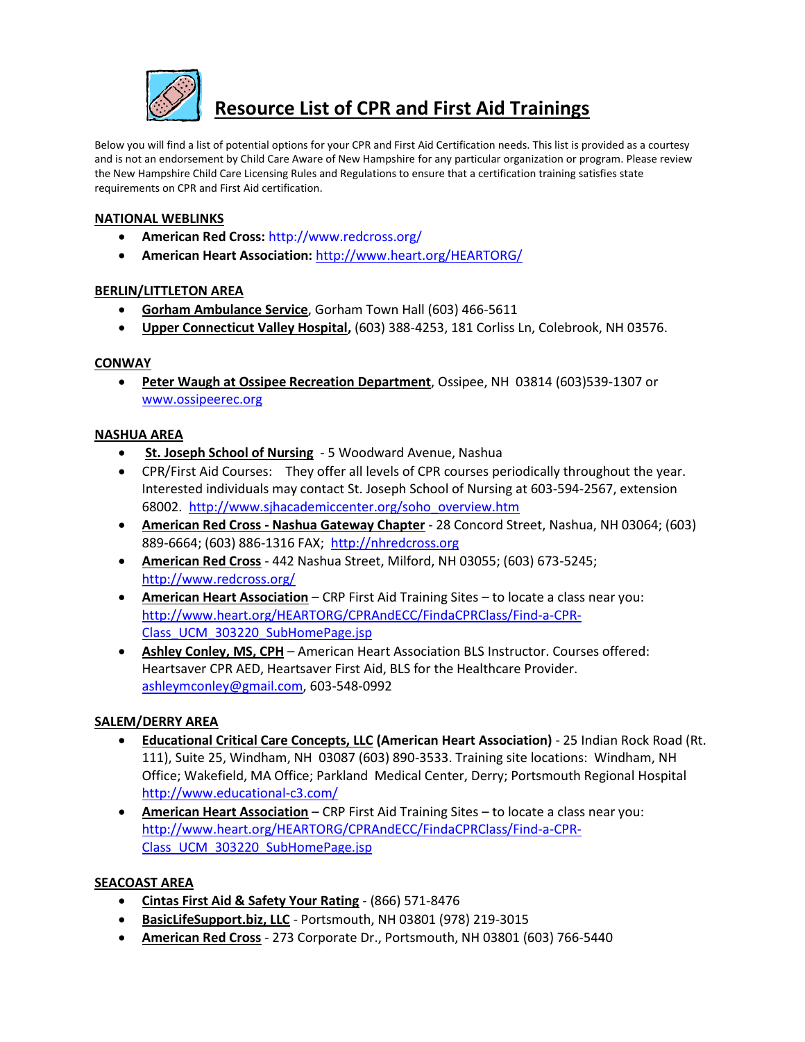

# **Resource List of CPR and First Aid Trainings**

Below you will find a list of potential options for your CPR and First Aid Certification needs. This list is provided as a courtesy and is not an endorsement by Child Care Aware of New Hampshire for any particular organization or program. Please review the New Hampshire Child Care Licensing Rules and Regulations to ensure that a certification training satisfies state requirements on CPR and First Aid certification.

#### **NATIONAL WEBLINKS**

- **American Red Cross:** <http://www.redcross.org/>
- **American Heart Association:** <http://www.heart.org/HEARTORG/>

### **BERLIN/LITTLETON AREA**

- **Gorham Ambulance Service**, Gorham Town Hall (603) 466-5611
- **Upper Connecticut Valley Hospital,** (603) 388-4253, 181 Corliss Ln, Colebrook, NH 03576.

#### **CONWAY**

 **Peter Waugh at Ossipee Recreation Department**, Ossipee, NH 03814 (603)539-1307 or [www.ossipeerec.org](http://www.ossipeerec.org/)

#### **NASHUA AREA**

- **St. Joseph School of Nursing** 5 Woodward Avenue, Nashua
- CPR/First Aid Courses: They offer all levels of CPR courses periodically throughout the year. Interested individuals may contact St. Joseph School of Nursing at 603-594-2567, extension 68002. [http://www.sjhacademiccenter.org/soho\\_overview.htm](http://www.sjhacademiccenter.org/soho_overview.htm)
- **American Red Cross - Nashua Gateway Chapter** 28 Concord Street, Nashua, NH 03064; (603) 889-6664; (603) 886-1316 FAX; [http://nhredcross.org](http://nhredcross.org/)
- **American Red Cross** 442 Nashua Street, Milford, NH 03055; (603) 673-5245; <http://www.redcross.org/>
- **American Heart Association** CRP First Aid Training Sites to locate a class near you: [http://www.heart.org/HEARTORG/CPRAndECC/FindaCPRClass/Find-a-CPR-](http://www.heart.org/HEARTORG/CPRAndECC/FindaCPRClass/Find-a-CPR-Class_UCM_303220_SubHomePage.jsp)[Class\\_UCM\\_303220\\_SubHomePage.jsp](http://www.heart.org/HEARTORG/CPRAndECC/FindaCPRClass/Find-a-CPR-Class_UCM_303220_SubHomePage.jsp)
- **Ashley Conley, MS, CPH** American Heart Association BLS Instructor. Courses offered: Heartsaver CPR AED, Heartsaver First Aid, BLS for the Healthcare Provider. [ashleymconley@gmail.com,](mailto:ashleymconley@gmail.com) 603-548-0992

#### **SALEM/DERRY AREA**

- **Educational Critical Care Concepts, LLC (American Heart Association)** 25 Indian Rock Road (Rt. 111), Suite 25, Windham, NH 03087 (603) 890-3533. Training site locations: Windham, NH Office; Wakefield, MA Office; Parkland Medical Center, Derry; Portsmouth Regional Hospital <http://www.educational-c3.com/>
- **American Heart Association** CRP First Aid Training Sites to locate a class near you: [http://www.heart.org/HEARTORG/CPRAndECC/FindaCPRClass/Find-a-CPR-](http://www.heart.org/HEARTORG/CPRAndECC/FindaCPRClass/Find-a-CPR-Class_UCM_303220_SubHomePage.jsp)[Class\\_UCM\\_303220\\_SubHomePage.jsp](http://www.heart.org/HEARTORG/CPRAndECC/FindaCPRClass/Find-a-CPR-Class_UCM_303220_SubHomePage.jsp)

## **SEACOAST AREA**

- **Cintas First Aid & Safety Your Rating** (866) 571-8476
- **BasicLifeSupport.biz, LLC** Portsmouth, NH 03801 (978) 219-3015
- **American Red Cross** 273 Corporate Dr., Portsmouth, NH 03801 (603) 766-5440